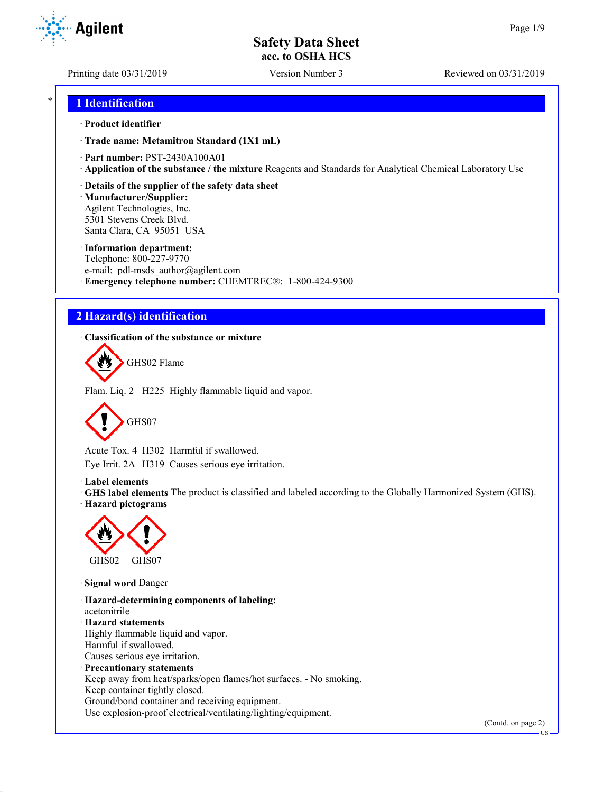**Agilent** 

Printing date 03/31/2019 Version Number 3 Reviewed on 03/31/2019

## \* **1 Identification**

### · **Product identifier**

· **Trade name: Metamitron Standard (1X1 mL)**

· **Part number:** PST-2430A100A01

· **Application of the substance / the mixture** Reagents and Standards for Analytical Chemical Laboratory Use

· **Details of the supplier of the safety data sheet**

· **Manufacturer/Supplier:** Agilent Technologies, Inc. 5301 Stevens Creek Blvd. Santa Clara, CA 95051 USA

### · **Information department:**

Telephone: 800-227-9770 e-mail: pdl-msds author@agilent.com · **Emergency telephone number:** CHEMTREC®: 1-800-424-9300

# **2 Hazard(s) identification**

· **Classification of the substance or mixture**



Flam. Liq. 2 H225 Highly flammable liquid and vapor.



Acute Tox. 4 H302 Harmful if swallowed.

Eye Irrit. 2A H319 Causes serious eye irritation.

### · **Label elements**

· **GHS label elements** The product is classified and labeled according to the Globally Harmonized System (GHS). · **Hazard pictograms**

\_\_\_\_\_\_\_\_\_\_\_\_\_\_\_\_\_\_\_\_\_\_



· **Signal word** Danger

· **Hazard-determining components of labeling:** acetonitrile · **Hazard statements** Highly flammable liquid and vapor. Harmful if swallowed. Causes serious eye irritation. · **Precautionary statements** Keep away from heat/sparks/open flames/hot surfaces. - No smoking. Keep container tightly closed. Ground/bond container and receiving equipment.

Use explosion-proof electrical/ventilating/lighting/equipment.

(Contd. on page 2)

US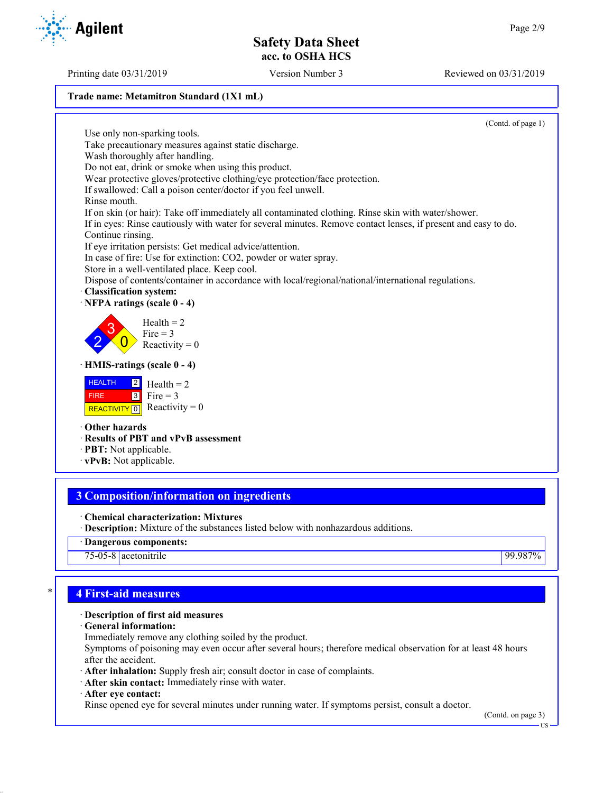### **Trade name: Metamitron Standard (1X1 mL)**

(Contd. of page 1)

Use only non-sparking tools. Take precautionary measures against static discharge. Wash thoroughly after handling. Do not eat, drink or smoke when using this product. Wear protective gloves/protective clothing/eye protection/face protection. If swallowed: Call a poison center/doctor if you feel unwell. Rinse mouth. If on skin (or hair): Take off immediately all contaminated clothing. Rinse skin with water/shower. If in eyes: Rinse cautiously with water for several minutes. Remove contact lenses, if present and easy to do. Continue rinsing. If eye irritation persists: Get medical advice/attention. In case of fire: Use for extinction: CO2, powder or water spray. Store in a well-ventilated place. Keep cool. Dispose of contents/container in accordance with local/regional/national/international regulations. · **Classification system:** · **NFPA ratings (scale 0 - 4)** 2 3  $\overline{0}$  $Health = 2$ Fire  $= 3$ Reactivity  $= 0$ · **HMIS-ratings (scale 0 - 4) HEALTH**  FIRE REACTIVITY  $\boxed{0}$  Reactivity = 0 2 3  $Health = 2$ Fire  $= 3$ · **Other hazards** · **Results of PBT and vPvB assessment** · **PBT:** Not applicable.

· **vPvB:** Not applicable.

# **3 Composition/information on ingredients**

· **Chemical characterization: Mixtures**

· **Description:** Mixture of the substances listed below with nonhazardous additions.

· **Dangerous components:**

75-05-8 acetonitrile 99.987%

# \* **4 First-aid measures**

## · **Description of first aid measures**

· **General information:**

Immediately remove any clothing soiled by the product.

Symptoms of poisoning may even occur after several hours; therefore medical observation for at least 48 hours after the accident.

· **After inhalation:** Supply fresh air; consult doctor in case of complaints.

· **After skin contact:** Immediately rinse with water.

· **After eye contact:**

Rinse opened eye for several minutes under running water. If symptoms persist, consult a doctor.

(Contd. on page 3)

US

Printing date 03/31/2019 Version Number 3 Reviewed on 03/31/2019



**Agilent**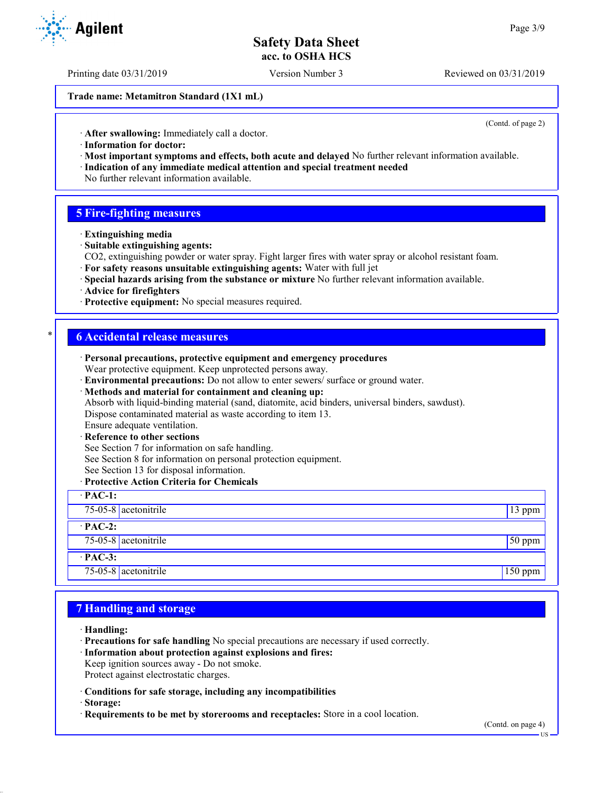Printing date 03/31/2019 Version Number 3 Reviewed on 03/31/2019

**Trade name: Metamitron Standard (1X1 mL)**

(Contd. of page 2)

· **After swallowing:** Immediately call a doctor.

- · **Information for doctor:**
- · **Most important symptoms and effects, both acute and delayed** No further relevant information available. · **Indication of any immediate medical attention and special treatment needed**
- No further relevant information available.

## **5 Fire-fighting measures**

- · **Extinguishing media**
- · **Suitable extinguishing agents:**
- CO2, extinguishing powder or water spray. Fight larger fires with water spray or alcohol resistant foam.
- · **For safety reasons unsuitable extinguishing agents:** Water with full jet
- · **Special hazards arising from the substance or mixture** No further relevant information available.
- · **Advice for firefighters**
- · **Protective equipment:** No special measures required.

## \* **6 Accidental release measures**

| · Personal precautions, protective equipment and emergency procedures<br>Wear protective equipment. Keep unprotected persons away. |          |
|------------------------------------------------------------------------------------------------------------------------------------|----------|
| · Environmental precautions: Do not allow to enter sewers/ surface or ground water.                                                |          |
| · Methods and material for containment and cleaning up:                                                                            |          |
| Absorb with liquid-binding material (sand, diatomite, acid binders, universal binders, sawdust).                                   |          |
| Dispose contaminated material as waste according to item 13.                                                                       |          |
| Ensure adequate ventilation.                                                                                                       |          |
| · Reference to other sections                                                                                                      |          |
| See Section 7 for information on safe handling.                                                                                    |          |
| See Section 8 for information on personal protection equipment.                                                                    |          |
| See Section 13 for disposal information.                                                                                           |          |
| · Protective Action Criteria for Chemicals                                                                                         |          |
| $\cdot$ PAC-1:                                                                                                                     |          |
| $75-05-8$ acetonitrile                                                                                                             | 13 ppm   |
| $\cdot$ PAC-2:                                                                                                                     |          |
| $75-05-8$ acetonitrile                                                                                                             | $50$ ppm |
| $·$ PAC-3:                                                                                                                         |          |
| 75-05-8 acetonitrile                                                                                                               | 150 ppm  |

## **7 Handling and storage**

- · **Handling:**
- · **Precautions for safe handling** No special precautions are necessary if used correctly.
- · **Information about protection against explosions and fires:**
- Keep ignition sources away Do not smoke.
- Protect against electrostatic charges.
- · **Conditions for safe storage, including any incompatibilities**
- · **Storage:**
- · **Requirements to be met by storerooms and receptacles:** Store in a cool location.



US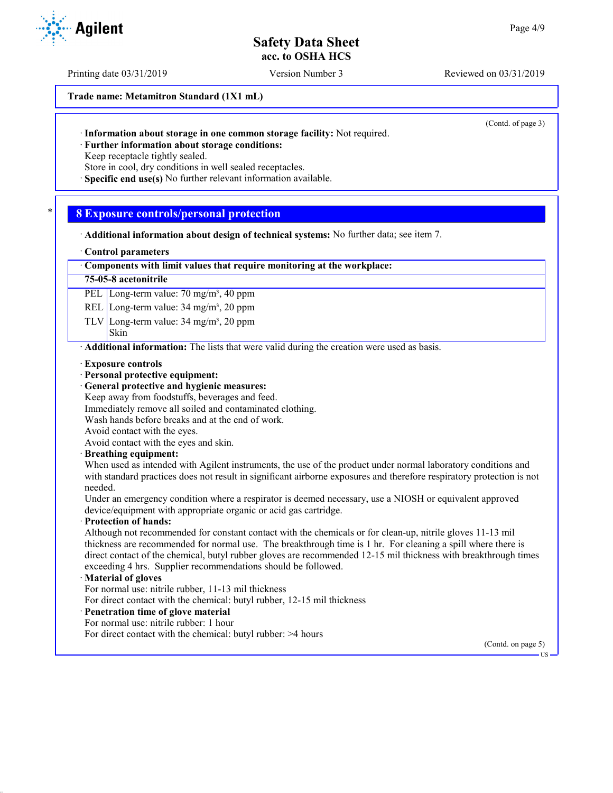Printing date 03/31/2019 Version Number 3 Reviewed on 03/31/2019

**Trade name: Metamitron Standard (1X1 mL)**

(Contd. of page 3)

· **Further information about storage conditions:**

Keep receptacle tightly sealed.

Store in cool, dry conditions in well sealed receptacles.

· **Specific end use(s)** No further relevant information available.

## \* **8 Exposure controls/personal protection**

- · **Additional information about design of technical systems:** No further data; see item 7.
- · **Control parameters**

### · **Components with limit values that require monitoring at the workplace:**

#### **75-05-8 acetonitrile**

PEL Long-term value: 70 mg/m<sup>3</sup>, 40 ppm

REL Long-term value: 34 mg/m<sup>3</sup>, 20 ppm

TLV Long-term value:  $34 \text{ mg/m}^3$ ,  $20 \text{ ppm}$ 

#### Skin

· **Additional information:** The lists that were valid during the creation were used as basis.

- · **Exposure controls**
- · **Personal protective equipment:**
- · **General protective and hygienic measures:**
- Keep away from foodstuffs, beverages and feed.
- Immediately remove all soiled and contaminated clothing.
- Wash hands before breaks and at the end of work.

Avoid contact with the eyes.

Avoid contact with the eyes and skin.

#### · **Breathing equipment:**

When used as intended with Agilent instruments, the use of the product under normal laboratory conditions and with standard practices does not result in significant airborne exposures and therefore respiratory protection is not needed.

Under an emergency condition where a respirator is deemed necessary, use a NIOSH or equivalent approved device/equipment with appropriate organic or acid gas cartridge.

#### · **Protection of hands:**

Although not recommended for constant contact with the chemicals or for clean-up, nitrile gloves 11-13 mil thickness are recommended for normal use. The breakthrough time is 1 hr. For cleaning a spill where there is direct contact of the chemical, butyl rubber gloves are recommended 12-15 mil thickness with breakthrough times exceeding 4 hrs. Supplier recommendations should be followed.

### · **Material of gloves**

For normal use: nitrile rubber, 11-13 mil thickness

For direct contact with the chemical: butyl rubber, 12-15 mil thickness

## · **Penetration time of glove material**

For normal use: nitrile rubber: 1 hour

For direct contact with the chemical: butyl rubber: >4 hours

(Contd. on page 5)

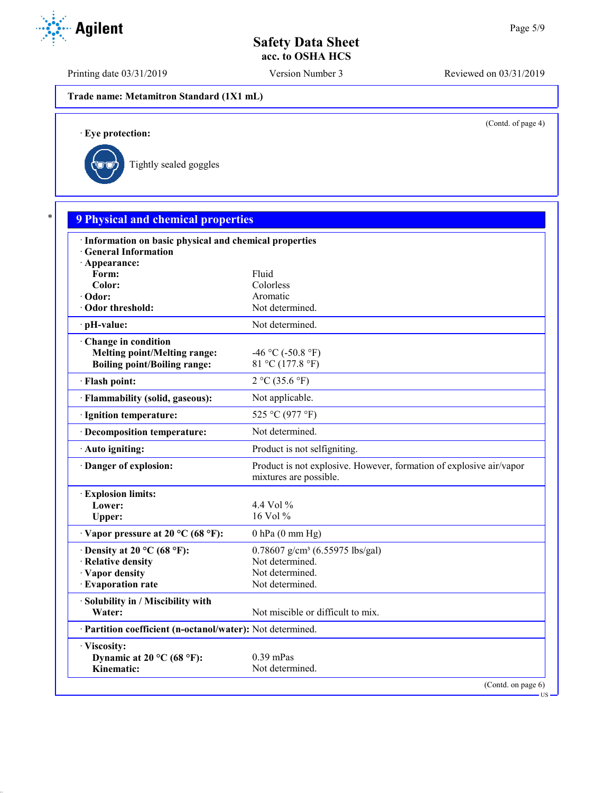Printing date 03/31/2019 Version Number 3 Reviewed on 03/31/2019

**Trade name: Metamitron Standard (1X1 mL)**

(Contd. of page 4)

US

· **Eye protection:**



| · Information on basic physical and chemical properties    |                                                                                               |
|------------------------------------------------------------|-----------------------------------------------------------------------------------------------|
| · General Information                                      |                                                                                               |
| · Appearance:                                              |                                                                                               |
| Form:                                                      | Fluid                                                                                         |
| Color:                                                     | Colorless                                                                                     |
| · Odor:                                                    | Aromatic                                                                                      |
| Odor threshold:                                            | Not determined.                                                                               |
| ∙ pH-value:                                                | Not determined.                                                                               |
| Change in condition                                        |                                                                                               |
| <b>Melting point/Melting range:</b>                        | $-46$ °C ( $-50.8$ °F)                                                                        |
| <b>Boiling point/Boiling range:</b>                        | 81 °C (177.8 °F)                                                                              |
| · Flash point:                                             | 2 °C (35.6 °F)                                                                                |
| · Flammability (solid, gaseous):                           | Not applicable.                                                                               |
| · Ignition temperature:                                    | 525 °C (977 °F)                                                                               |
| · Decomposition temperature:                               | Not determined.                                                                               |
| · Auto igniting:                                           | Product is not selfigniting.                                                                  |
| Danger of explosion:                                       | Product is not explosive. However, formation of explosive air/vapor<br>mixtures are possible. |
| <b>Explosion limits:</b>                                   |                                                                                               |
| Lower:                                                     | 4.4 Vol $\%$                                                                                  |
| Upper:                                                     | 16 Vol $%$                                                                                    |
| $\cdot$ Vapor pressure at 20 °C (68 °F):                   | $0$ hPa $(0$ mm Hg)                                                                           |
| $\cdot$ Density at 20 °C (68 °F):                          | $0.78607$ g/cm <sup>3</sup> (6.55975 lbs/gal)                                                 |
| · Relative density                                         | Not determined.                                                                               |
| · Vapor density                                            | Not determined.                                                                               |
| · Evaporation rate                                         | Not determined.                                                                               |
| · Solubility in / Miscibility with                         |                                                                                               |
| Water:                                                     | Not miscible or difficult to mix.                                                             |
| · Partition coefficient (n-octanol/water): Not determined. |                                                                                               |
| · Viscosity:                                               |                                                                                               |
| Dynamic at 20 °C (68 °F):                                  | $0.39$ mPas                                                                                   |

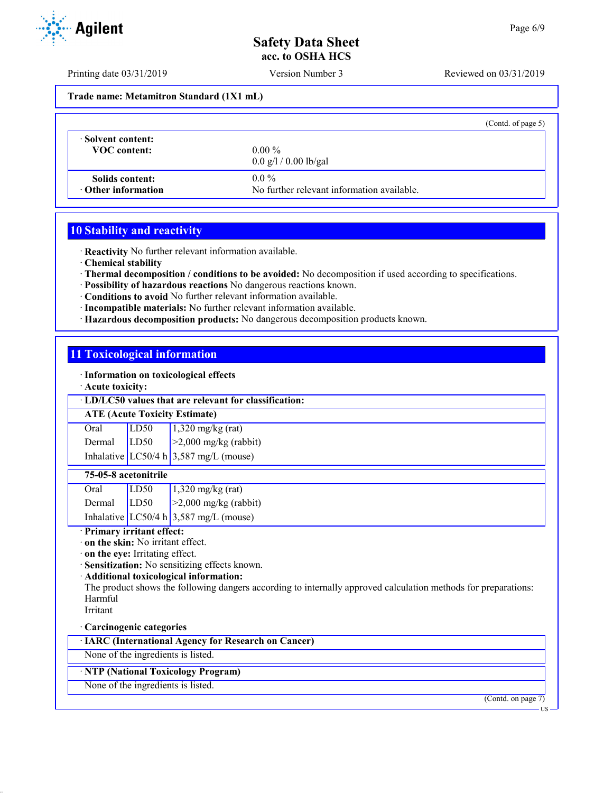Printing date 03/31/2019 Version Number 3 Reviewed on 03/31/2019

**Trade name: Metamitron Standard (1X1 mL)**

|                                              |                                                       | (Contd. of page $5$ ) |
|----------------------------------------------|-------------------------------------------------------|-----------------------|
| Solvent content:<br><b>VOC</b> content:      | $0.00\%$<br>$0.0 \frac{g}{1} / 0.00 \frac{g}{g}$      |                       |
| Solids content:<br>$\cdot$ Other information | $0.0\%$<br>No further relevant information available. |                       |

## **10 Stability and reactivity**

· **Reactivity** No further relevant information available.

- · **Chemical stability**
- · **Thermal decomposition / conditions to be avoided:** No decomposition if used according to specifications.
- · **Possibility of hazardous reactions** No dangerous reactions known.
- · **Conditions to avoid** No further relevant information available.
- · **Incompatible materials:** No further relevant information available.
- · **Hazardous decomposition products:** No dangerous decomposition products known.

# **11 Toxicological information**

· **Information on toxicological effects**

· **Acute toxicity:**

### · **LD/LC50 values that are relevant for classification:**

### **ATE (Acute Toxicity Estimate)**

| Oral          | LD50 | $1,320$ mg/kg (rat)                      |
|---------------|------|------------------------------------------|
| Dermal $LD50$ |      | $\geq$ 2,000 mg/kg (rabbit)              |
|               |      | Inhalative LC50/4 h $3,587$ mg/L (mouse) |

## **75-05-8 acetonitrile**

| Oral   | LD50 | $1,320$ mg/kg (rat)                      |
|--------|------|------------------------------------------|
| Dermal | LD50 | $\geq$ 2,000 mg/kg (rabbit)              |
|        |      | Inhalative LC50/4 h $3,587$ mg/L (mouse) |

## · **Primary irritant effect:**

· **on the skin:** No irritant effect.

- · **on the eye:** Irritating effect.
- · **Sensitization:** No sensitizing effects known.

## · **Additional toxicological information:**

The product shows the following dangers according to internally approved calculation methods for preparations: Harmful

Irritant

# · **Carcinogenic categories**

· **IARC (International Agency for Research on Cancer)**

None of the ingredients is listed.

# · **NTP (National Toxicology Program)**

None of the ingredients is listed.

(Contd. on page 7)



US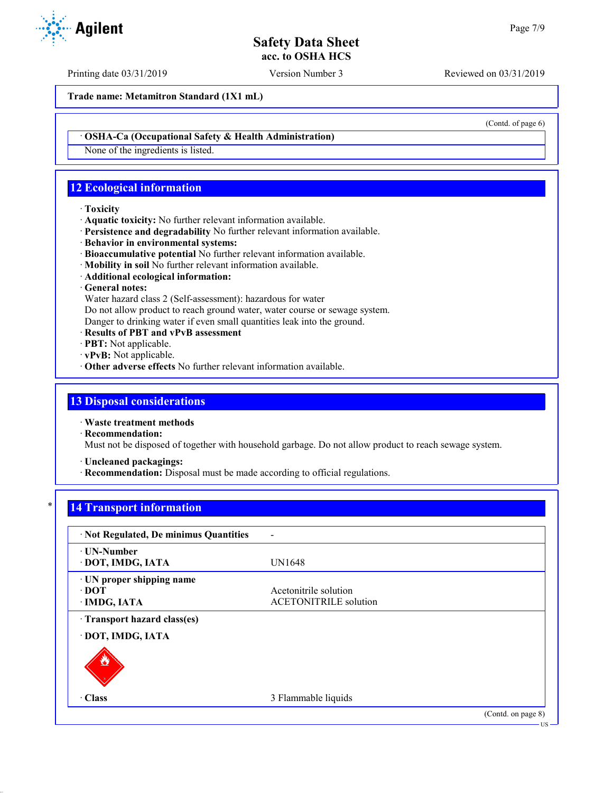Printing date 03/31/2019 Version Number 3 Reviewed on 03/31/2019

**Trade name: Metamitron Standard (1X1 mL)**

(Contd. of page 6)

### · **OSHA-Ca (Occupational Safety & Health Administration)**

None of the ingredients is listed.

# **12 Ecological information**

#### · **Toxicity**

- · **Aquatic toxicity:** No further relevant information available.
- · **Persistence and degradability** No further relevant information available.
- · **Behavior in environmental systems:**
- · **Bioaccumulative potential** No further relevant information available.
- · **Mobility in soil** No further relevant information available.
- · **Additional ecological information:**

· **General notes:**

Water hazard class 2 (Self-assessment): hazardous for water

Do not allow product to reach ground water, water course or sewage system.

Danger to drinking water if even small quantities leak into the ground.

- · **Results of PBT and vPvB assessment**
- · **PBT:** Not applicable.
- · **vPvB:** Not applicable.
- · **Other adverse effects** No further relevant information available.

## **13 Disposal considerations**

· **Waste treatment methods**

· **Recommendation:**

Must not be disposed of together with household garbage. Do not allow product to reach sewage system.

· **Uncleaned packagings:**

· **Recommendation:** Disposal must be made according to official regulations.

# **14 Transport information**

| · Not Regulated, De minimus Quantities                   |                                                       |                    |
|----------------------------------------------------------|-------------------------------------------------------|--------------------|
| · UN-Number<br>· DOT, IMDG, IATA                         | <b>UN1648</b>                                         |                    |
| · UN proper shipping name<br>$\cdot$ DOT<br>· IMDG, IATA | Acetonitrile solution<br><b>ACETONITRILE</b> solution |                    |
| Transport hazard class(es)<br>· DOT, IMDG, IATA          |                                                       |                    |
|                                                          |                                                       |                    |
| $\cdot$ Class                                            | 3 Flammable liquids                                   |                    |
|                                                          |                                                       | (Contd. on page 8) |

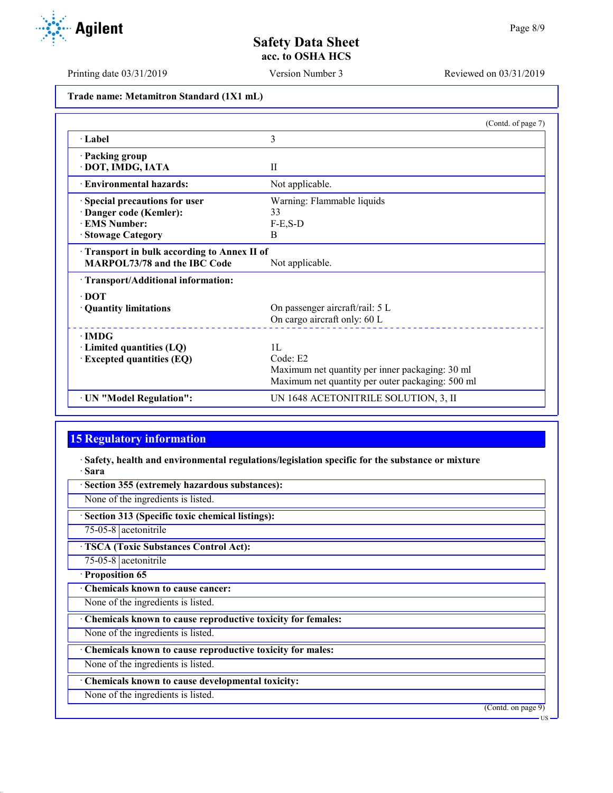Printing date 03/31/2019 Version Number 3 Reviewed on 03/31/2019

**Trade name: Metamitron Standard (1X1 mL)**

|                                            | (Contd. of page 7)                               |
|--------------------------------------------|--------------------------------------------------|
| · Label                                    | 3                                                |
| · Packing group                            |                                                  |
| · DOT, IMDG, IATA                          | $\mathbf{I}$                                     |
| · Environmental hazards:                   | Not applicable.                                  |
| Special precautions for user               | Warning: Flammable liquids                       |
| · Danger code (Kemler):                    | 33                                               |
| <b>EMS Number:</b>                         | $F-E$ , $S-D$                                    |
| · Stowage Category                         | B                                                |
| Transport in bulk according to Annex II of |                                                  |
| <b>MARPOL73/78 and the IBC Code</b>        | Not applicable.                                  |
| · Transport/Additional information:        |                                                  |
| $\cdot$ DOT                                |                                                  |
| · Quantity limitations                     | On passenger aircraft/rail: 5 L                  |
|                                            | On cargo aircraft only: 60 L                     |
| $\cdot$ IMDG                               |                                                  |
| $\cdot$ Limited quantities (LQ)            | 1L                                               |
| · Excepted quantities (EQ)                 | Code: E2                                         |
|                                            | Maximum net quantity per inner packaging: 30 ml  |
|                                            | Maximum net quantity per outer packaging: 500 ml |
| · UN "Model Regulation":                   | UN 1648 ACETONITRILE SOLUTION, 3, II             |

# **15 Regulatory information**

· **Safety, health and environmental regulations/legislation specific for the substance or mixture** · **Sara**

| Section 355 (extremely hazardous substances):               |                    |
|-------------------------------------------------------------|--------------------|
| None of the ingredients is listed.                          |                    |
| Section 313 (Specific toxic chemical listings):             |                    |
| 75-05-8 acetonitrile                                        |                    |
| <b>TSCA (Toxic Substances Control Act):</b>                 |                    |
| $75-05-8$ acetonitrile                                      |                    |
| · Proposition 65                                            |                    |
| Chemicals known to cause cancer:                            |                    |
| None of the ingredients is listed.                          |                    |
| Chemicals known to cause reproductive toxicity for females: |                    |
| None of the ingredients is listed.                          |                    |
| Chemicals known to cause reproductive toxicity for males:   |                    |
| None of the ingredients is listed.                          |                    |
| · Chemicals known to cause developmental toxicity:          |                    |
| None of the ingredients is listed.                          |                    |
|                                                             | (Contd. on page 9) |